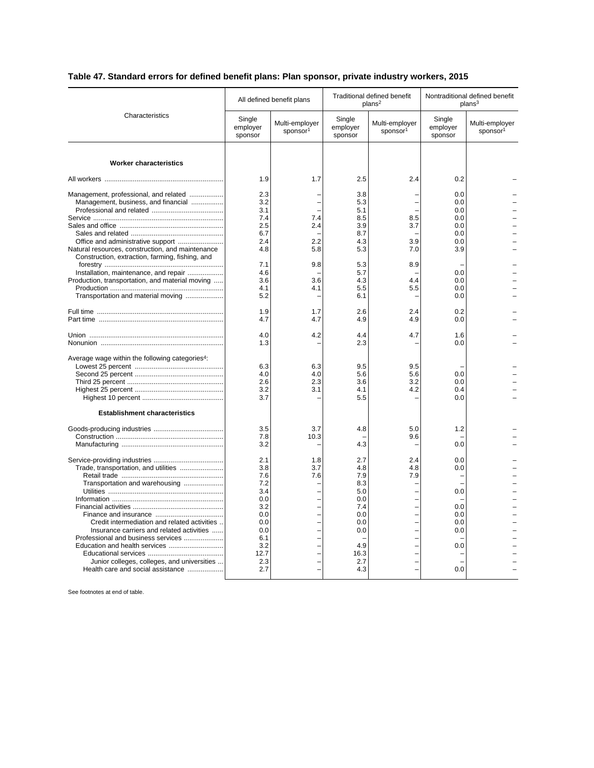## **Table 47. Standard errors for defined benefit plans: Plan sponsor, private industry workers, 2015**

| Characteristics                                                                                                                  | All defined benefit plans                            |                                        | Traditional defined benefit<br>plans <sup>2</sup>    |                                        | Nontraditional defined benefit<br>plans <sup>3</sup> |                                        |
|----------------------------------------------------------------------------------------------------------------------------------|------------------------------------------------------|----------------------------------------|------------------------------------------------------|----------------------------------------|------------------------------------------------------|----------------------------------------|
|                                                                                                                                  | Single<br>employer<br>sponsor                        | Multi-employer<br>sponsor <sup>1</sup> | Single<br>employer<br>sponsor                        | Multi-employer<br>sponsor <sup>1</sup> | Single<br>employer<br>sponsor                        | Multi-employer<br>sponsor <sup>1</sup> |
| <b>Worker characteristics</b>                                                                                                    |                                                      |                                        |                                                      |                                        |                                                      |                                        |
|                                                                                                                                  | 1.9                                                  | 1.7                                    | 2.5                                                  | 2.4                                    | 0.2                                                  |                                        |
| Management, professional, and related<br>Management, business, and financial<br>Natural resources, construction, and maintenance | 2.3<br>3.2<br>3.1<br>7.4<br>2.5<br>6.7<br>2.4<br>4.8 | 7.4<br>2.4<br>2.2<br>5.8               | 3.8<br>5.3<br>5.1<br>8.5<br>3.9<br>8.7<br>4.3<br>5.3 | 8.5<br>3.7<br>3.9<br>7.0               | 0.0<br>0.0<br>0.0<br>0.0<br>0.0<br>0.0<br>0.0<br>3.9 |                                        |
| Construction, extraction, farming, fishing, and                                                                                  |                                                      |                                        |                                                      |                                        |                                                      |                                        |
| Installation, maintenance, and repair<br>Production, transportation, and material moving<br>Transportation and material moving   | 7.1<br>4.6<br>3.6<br>4.1<br>5.2                      | 9.8<br>3.6<br>4.1                      | 5.3<br>5.7<br>4.3<br>5.5<br>6.1                      | 8.9<br>4.4<br>5.5                      | 0.0<br>0.0<br>0.0<br>0.0                             |                                        |
|                                                                                                                                  | 1.9                                                  | 1.7                                    | 2.6                                                  | 2.4                                    | 0.2                                                  |                                        |
|                                                                                                                                  | 4.7                                                  | 4.7                                    | 4.9                                                  | 4.9                                    | 0.0                                                  |                                        |
|                                                                                                                                  | 4.0<br>1.3                                           | 4.2                                    | 4.4<br>2.3                                           | 4.7                                    | 1.6<br>0.0                                           |                                        |
| Average wage within the following categories <sup>4</sup> :                                                                      | 6.3<br>4.0<br>2.6<br>3.2<br>3.7                      | 6.3<br>4.0<br>2.3<br>3.1               | 9.5<br>5.6<br>3.6<br>4.1<br>5.5                      | 9.5<br>5.6<br>3.2<br>4.2               | 0.0<br>0.0<br>0.4<br>0.0                             |                                        |
| <b>Establishment characteristics</b>                                                                                             |                                                      |                                        |                                                      |                                        |                                                      |                                        |
|                                                                                                                                  | 3.5<br>7.8<br>3.2                                    | 3.7<br>10.3                            | 4.8<br>4.3                                           | 5.0<br>9.6<br>÷                        | 1.2<br>0.0                                           |                                        |
|                                                                                                                                  | 2.1                                                  | 1.8                                    | 2.7                                                  | 2.4                                    | 0.0                                                  |                                        |
| Trade, transportation, and utilities<br>Transportation and warehousing                                                           | 3.8<br>7.6<br>7.2<br>3.4                             | 3.7<br>7.6                             | 4.8<br>7.9<br>8.3<br>5.0                             | 4.8<br>7.9                             | 0.0<br>0.0                                           |                                        |
|                                                                                                                                  | 0.0<br>3.2<br>0.0                                    | L,                                     | 0.0<br>7.4<br>0.0                                    | L,                                     | 0.0<br>0.0                                           |                                        |
| Credit intermediation and related activities<br>Insurance carriers and related activities<br>Professional and business services  | 0.0<br>0.0<br>6.1                                    |                                        | 0.0<br>0.0                                           | $\overline{a}$                         | 0.0<br>0.0                                           |                                        |
| Junior colleges, colleges, and universities<br>Health care and social assistance                                                 | 3.2<br>12.7<br>2.3<br>2.7                            |                                        | 4.9<br>16.3<br>2.7<br>4.3                            |                                        | 0.0<br>0.0                                           |                                        |
|                                                                                                                                  |                                                      |                                        |                                                      |                                        |                                                      |                                        |

See footnotes at end of table.